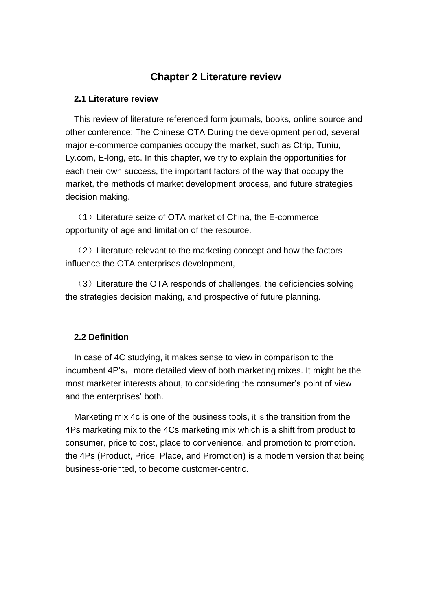## **Chapter 2 Literature review**

#### **2.1 Literature review**

This review of literature referenced form journals, books, online source and other conference; The Chinese OTA During the development period, several major e-commerce companies occupy the market, such as Ctrip, Tuniu, Ly.com, E-long, etc. In this chapter, we try to explain the opportunities for each their own success, the important factors of the way that occupy the market, the methods of market development process, and future strategies decision making.

 $(1)$  Literature seize of OTA market of China, the E-commerce opportunity of age and limitation of the resource.

(2)Literature relevant to the marketing concept and how the factors influence the OTA enterprises development,

(3)Literature the OTA responds of challenges, the deficiencies solving, the strategies decision making, and prospective of future planning.

### **2.2 Definition**

In case of 4C studying, it makes sense to view in comparison to the incumbent 4P's, more detailed view of both marketing mixes. It might be the most marketer interests about, to considering the consumer's point of view and the enterprises' both.

Marketing mix 4c is one of the business tools, it is the transition from the 4Ps marketing mix to the 4Cs marketing mix which is a shift from product to consumer, price to cost, place to convenience, and promotion to promotion. the 4Ps (Product, Price, Place, and Promotion) is a modern version that being business-oriented, to become customer-centric.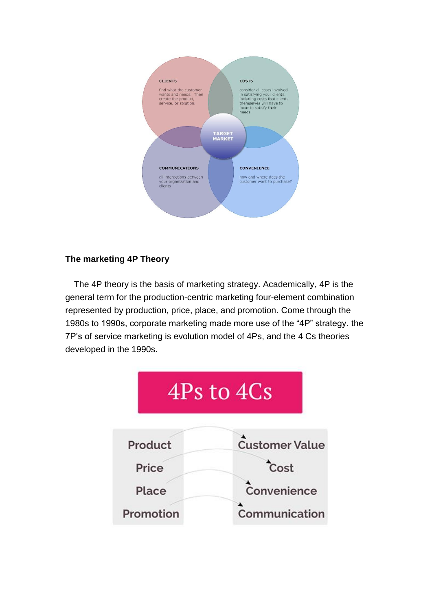

# **The marketing 4P Theory**

The 4P theory is the basis of marketing strategy. Academically, 4P is the general term for the production-centric marketing four-element combination represented by production, price, place, and promotion. Come through the 1980s to 1990s, corporate marketing made more use of the "4P" strategy. the 7P's of service marketing is evolution model of 4Ps, and the 4 Cs theories developed in the 1990s.

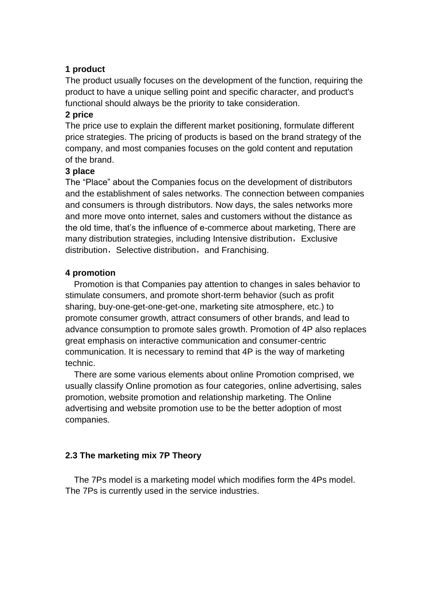#### **1 product**

The product usually focuses on the development of the function, requiring the product to have a unique selling point and specific character, and product's functional should always be the priority to take consideration.

### **2 price**

The price use to explain the different market positioning, formulate different price strategies. The pricing of products is based on the brand strategy of the company, and most companies focuses on the gold content and reputation of the brand.

### **3 place**

The "Place" about the Companies focus on the development of distributors and the establishment of sales networks. The connection between companies and consumers is through distributors. Now days, the sales networks more and more move onto internet, sales and customers without the distance as the old time, that's the influence of e-commerce about marketing, There are many distribution strategies, including Intensive distribution, Exclusive distribution, Selective distribution, and Franchising.

### **4 promotion**

Promotion is that Companies pay attention to changes in sales behavior to stimulate consumers, and promote short-term behavior (such as profit sharing, buy-one-get-one-get-one, marketing site atmosphere, etc.) to promote consumer growth, attract consumers of other brands, and lead to advance consumption to promote sales growth. Promotion of 4P also replaces great emphasis on interactive communication and consumer-centric communication. It is necessary to remind that 4P is the way of marketing technic.

There are some various elements about online Promotion comprised, we usually classify Online promotion as four categories, online advertising, sales promotion, website promotion and relationship marketing. The Online advertising and website promotion use to be the better adoption of most companies.

## **2.3 The marketing mix 7P Theory**

The 7Ps model is a marketing model which modifies form the 4Ps model. The 7Ps is currently used in the service industries.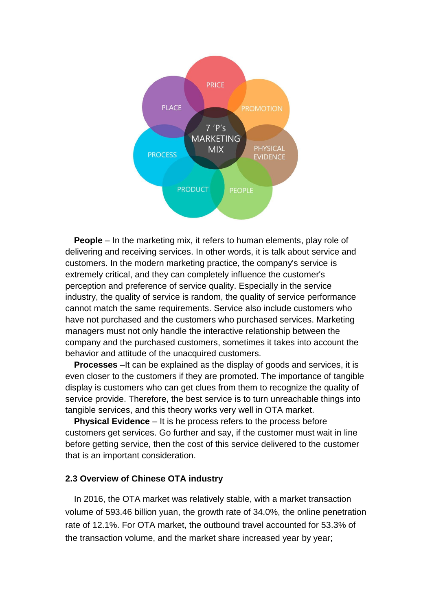

**People** – In the marketing mix, it refers to human elements, play role of delivering and receiving services. In other words, it is talk about service and customers. In the modern marketing practice, the company's service is extremely critical, and they can completely influence the customer's perception and preference of service quality. Especially in the service industry, the quality of service is random, the quality of service performance cannot match the same requirements. Service also include customers who have not purchased and the customers who purchased services. Marketing managers must not only handle the interactive relationship between the company and the purchased customers, sometimes it takes into account the behavior and attitude of the unacquired customers.

**Processes** – It can be explained as the display of goods and services, it is even closer to the customers if they are promoted. The importance of tangible display is customers who can get clues from them to recognize the quality of service provide. Therefore, the best service is to turn unreachable things into tangible services, and this theory works very well in OTA market.

**Physical Evidence** – It is he process refers to the process before customers get services. Go further and say, if the customer must wait in line before getting service, then the cost of this service delivered to the customer that is an important consideration.

#### **2.3 Overview of Chinese OTA industry**

In 2016, the OTA market was relatively stable, with a market transaction volume of 593.46 billion yuan, the growth rate of 34.0%, the online penetration rate of 12.1%. For OTA market, the outbound travel accounted for 53.3% of the transaction volume, and the market share increased year by year;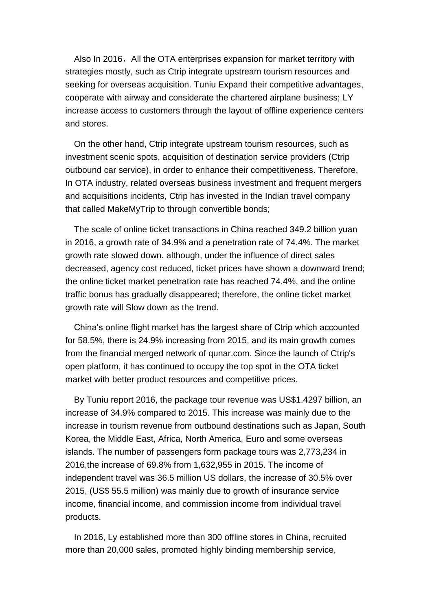Also In 2016, All the OTA enterprises expansion for market territory with strategies mostly, such as Ctrip integrate upstream tourism resources and seeking for overseas acquisition. Tuniu Expand their competitive advantages, cooperate with airway and considerate the chartered airplane business; LY increase access to customers through the layout of offline experience centers and stores.

On the other hand, Ctrip integrate upstream tourism resources, such as investment scenic spots, acquisition of destination service providers (Ctrip outbound car service), in order to enhance their competitiveness. Therefore, In OTA industry, related overseas business investment and frequent mergers and acquisitions incidents, Ctrip has invested in the Indian travel company that called MakeMyTrip to through convertible bonds;

The scale of online ticket transactions in China reached 349.2 billion yuan in 2016, a growth rate of 34.9% and a penetration rate of 74.4%. The market growth rate slowed down. although, under the influence of direct sales decreased, agency cost reduced, ticket prices have shown a downward trend; the online ticket market penetration rate has reached 74.4%, and the online traffic bonus has gradually disappeared; therefore, the online ticket market growth rate will Slow down as the trend.

China's online flight market has the largest share of Ctrip which accounted for 58.5%, there is 24.9% increasing from 2015, and its main growth comes from the financial merged network of qunar.com. Since the launch of Ctrip's open platform, it has continued to occupy the top spot in the OTA ticket market with better product resources and competitive prices.

By Tuniu report 2016, the package tour revenue was US\$1.4297 billion, an increase of 34.9% compared to 2015. This increase was mainly due to the increase in tourism revenue from outbound destinations such as Japan, South Korea, the Middle East, Africa, North America, Euro and some overseas islands. The number of passengers form package tours was 2,773,234 in 2016,the increase of 69.8% from 1,632,955 in 2015. The income of independent travel was 36.5 million US dollars, the increase of 30.5% over 2015, (US\$ 55.5 million) was mainly due to growth of insurance service income, financial income, and commission income from individual travel products.

In 2016, Ly established more than 300 offline stores in China, recruited more than 20,000 sales, promoted highly binding membership service,